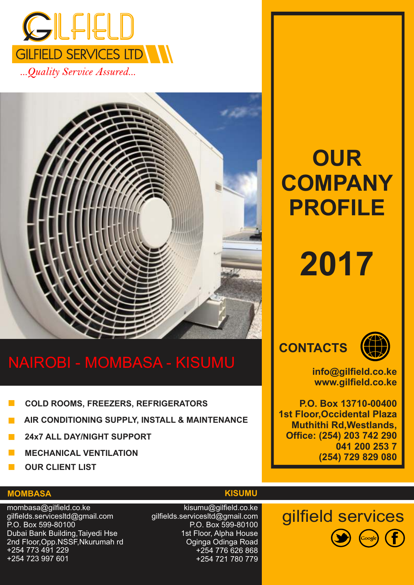

...Quality Service Assured...



## NAIROBI - MOMBASA - KISUMU

- **COLD ROOMS, FREEZERS, REFRIGERATORS**
- **AIR CONDITIONING SUPPLY, INSTALL & MAINTENANCE**
- **24x7 ALL DAY/NIGHT SUPPORT**
- **MECHANICAL VENTILATION**
- **OUR CLIENT LIST**

#### **MOMBASA**

mombasa@gilfield.co.ke gilfields.servicesltd@gmail.com P.O. Box 599-80100 Dubai Bank Building,Taiyedi Hse 2nd Floor,Opp.NSSF,Nkurumah rd +254 773 491 229 +254 723 997 601

**KISUMU**

kisumu@gilfield.co.ke gilfields.servicesltd@gmail.com P.O. Box 599-80100 1st Floor, Alpha House Oginga Odinga Road +254 776 626 868 +254 721 780 779

# **OUR COMPANY PROFILE**

# **2017**





**info@gilfield.co.ke www.gilfield.co.ke**

**P.O. Box 13710-00400 1st Floor,Occidental Plaza Muthithi Rd,Westlands, Office: (254) 203 742 290 041 200 253 7 (254) 729 829 080**

gilfield services

 $\left( f\right)$ 

(Google)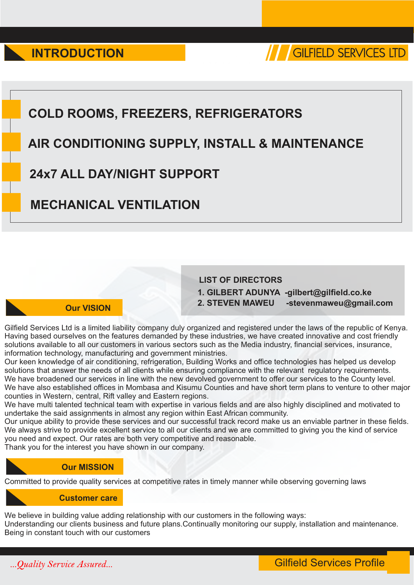

## **COLD ROOMS, FREEZERS, REFRIGERATORS**

## **AIR CONDITIONING SUPPLY, INSTALL & MAINTENANCE**

## **24x7 ALL DAY/NIGHT SUPPORT**

## **MECHANICAL VENTILATION**

#### **Our VISION**

#### **LIST OF DIRECTORS 1. GILBERT ADUNYA -gilbert@gilfield.co.ke 2. STEVEN MAWEU -stevenmaweu@gmail.com**

Gilfield Services Ltd is a limited liability company duly organized and registered under the laws of the republic of Kenya. Having based ourselves on the features demanded by these industries, we have created innovative and cost friendly solutions available to all our customers in various sectors such as the Media industry, financial services, insurance, information technology, manufacturing and government ministries.

Our keen knowledge of air conditioning, refrigeration, Building Works and office technologies has helped us develop solutions that answer the needs of all clients while ensuring compliance with the relevant regulatory requirements. We have broadened our services in line with the new devolved government to offer our services to the County level. We have also established offices in Mombasa and Kisumu Counties and have short term plans to venture to other major counties in Western, central, Rift valley and Eastern regions.

We have multi talented technical team with expertise in various fields and are also highly disciplined and motivated to undertake the said assignments in almost any region within East African community.

Our unique ability to provide these services and our successful track record make us an enviable partner in these fields. We always strive to provide excellent service to all our clients and we are committed to giving you the kind of service you need and expect. Our rates are both very competitive and reasonable.

Thank you for the interest you have shown in our company.

#### **Our MISSION**

Committed to provide quality services at competitive rates in timely manner while observing governing laws

#### **Customer care**

We believe in building value adding relationship with our customers in the following ways:

Understanding our clients business and future plans.Continually monitoring our supply, installation and maintenance. Being in constant touch with our customers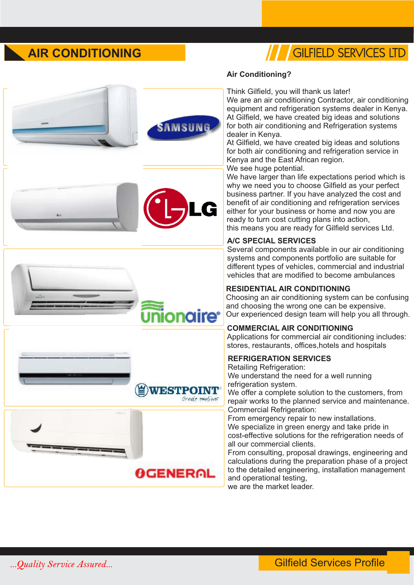## **AIR CONDITIONING**

## /// GILFIELD SERVICES LTD



**EXESTPOINT** 

**OGENERAL** 

Greate empliant

#### **Air Conditioning?**

Think Gilfield, you will thank us later! We are an air conditioning Contractor, air conditioning equipment and refrigeration systems dealer in Kenya. At Gilfield, we have created big ideas and solutions for both air conditioning and Refrigeration systems dealer in Kenya.

At Gilfield, we have created big ideas and solutions for both air conditioning and refrigeration service in Kenya and the East African region. We see huge potential.

We have larger than life expectations period which is why we need you to choose Gilfield as your perfect business partner. If you have analyzed the cost and benefit of air conditioning and refrigeration services either for your business or home and now you are ready to turn cost cutting plans into action, this means you are ready for Gilfield services Ltd.

#### **A/C SPECIAL SERVICES**

Several components available in our air conditioning systems and components portfolio are suitable for different types of vehicles, commercial and industrial vehicles that are modified to become ambulances

#### **RESIDENTIAL AIR CONDITIONING**

Choosing an air conditioning system can be confusing and choosing the wrong one can be expensive. Our experienced design team will help you all through.

#### **COMMERCIAL AIR CONDITIONING**

Applications for commercial air conditioning includes: stores, restaurants, offices,hotels and hospitals

#### **REFRIGERATION SERVICES**

Retailing Refrigeration: We understand the need for a well running refrigeration system. We offer a complete solution to the customers, from repair works to the planned service and maintenance. Commercial Refrigeration: From emergency repair to new installations. We specialize in green energy and take pride in

cost-effective solutions for the refrigeration needs of all our commercial clients.

From consulting, proposal drawings, engineering and calculations during the preparation phase of a project to the detailed engineering, installation management and operational testing,

we are the market leader.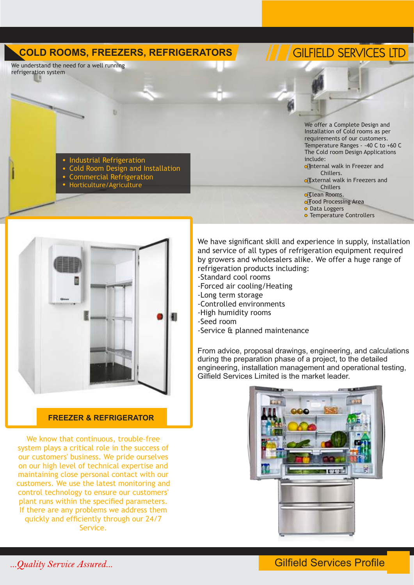#### **COLD ROOMS, FREEZERS, REFRIGERATORS**

We understand the need for a well running refrigeration system

## **GILFIELD SERVICES LTD**

Industrial Refrigeration

- Cold Room Design and Installation
- Commercial Refrigeration
- Horticulture/Agriculture

We offer a Complete Design and Installation of Cold rooms as per requirements of our customers. Temperature Ranges - -40 C to +60 C The Cold room Design Applications include:

o#nternal walk in Freezer and Chillers.

of External walk in Freezers and

- Chillers
- ofClean Rooms. of Food Processing Area

o Data Loggers

**• Temperature Controllers** 



#### **FREEZER & REFRIGERATOR**

We know that continuous, trouble-free system plays a critical role in the success of our customers' business. We pride ourselves on our high level of technical expertise and maintaining close personal contact with our customers. We use the latest monitoring and control technology to ensure our customers' plant runs within the specified parameters. If there are any problems we address them quickly and efficiently through our 24/7 Service.

We have significant skill and experience in supply, installation and service of all types of refrigeration equipment required by growers and wholesalers alike. We offer a huge range of refrigeration products including:

- -Standard cool rooms
- -Forced air cooling/Heating
- -Long term storage
- -Controlled environments
- -High humidity rooms
- -Seed room
- -Service & planned maintenance

From advice, proposal drawings, engineering, and calculations during the preparation phase of a project, to the detailed engineering, installation management and operational testing, Gilfield Services Limited is the market leader.

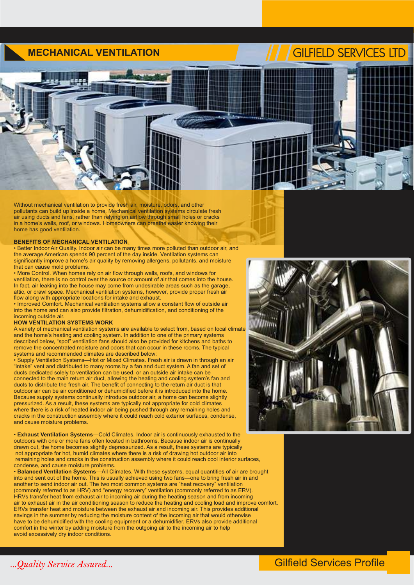#### **MECHANICAL VENTILATION**

## **GILFIELD SERVICES LTD**



Without mechanical ventilation to provide fresh air, moisture, odors, and other pollutants can build up inside a home. Mechanical ventilation systems circulate fresh air using ducts and fans, rather than relying on airflow through small holes or cracks in a home's walls, roof, or windows. Homeowners can breathe easier knowing their home has good ventilation.

#### **BENEFITS OF MECHANICAL VENTILATION**

• Better Indoor Air Quality. Indoor air can be many times more polluted than outdoor air, and the average American spends 90 percent of the day inside. Ventilation systems can significantly improve a home's air quality by removing allergens, pollutants, and moisture that can cause mold problems.

• More Control. When homes rely on air flow through walls, roofs, and windows for ventilation, there is no control over the source or amount of air that comes into the house. In fact, air leaking into the house may come from undesirable areas such as the garage, attic, or crawl space. Mechanical ventilation systems, however, provide proper fresh air flow along with appropriate locations for intake and exhaust.

• Improved Comfort. Mechanical ventilation systems allow a constant flow of outside air into the home and can also provide filtration, dehumidification, and conditioning of the incoming outside air.

#### **HOW VENTILATION SYSTEMS WORK**

A variety of mechanical ventilation systems are available to select from, based on local climate and the home's heating and cooling system. In addition to one of the primary systems described below, "spot" ventilation fans should also be provided for kitchens and baths to remove the concentrated moisture and odors that can occur in these rooms. The typical systems and recommended climates are described below:

• Supply Ventilation Systems—Hot or Mixed Climates. Fresh air is drawn in through an air "intake" vent and distributed to many rooms by a fan and duct system. A fan and set of ducts dedicated solely to ventilation can be used, or an outside air intake can be connected to the main return air duct, allowing the heating and cooling system's fan and ducts to distribute the fresh air. The benefit of connecting to the return air duct is that outdoor air can be air conditioned or dehumidified before it is introduced into the home. Because supply systems continually introduce outdoor air, a home can become slightly pressurized. As a result, these systems are typically not appropriate for cold climates where there is a risk of heated indoor air being pushed through any remaining holes and cracks in the construction assembly where it could reach cold exterior surfaces, condense, and cause moisture problems.

• **Exhaust Ventilation Systems**—Cold Climates. Indoor air is continuously exhausted to the outdoors with one or more fans often located in bathrooms. Because indoor air is continually drawn out, the home becomes slightly depressurized. As a result, these systems are typically not appropriate for hot, humid climates where there is a risk of drawing hot outdoor air into remaining holes and cracks in the construction assembly where it could reach cool interior surfaces, condense, and cause moisture problems.

• **Balanced Ventilation Systems**—All Climates. With these systems, equal quantities of air are brought into and sent out of the home. This is usually achieved using two fans—one to bring fresh air in and another to send indoor air out. The two most common systems are "heat recovery" ventilation (commonly referred to as HRV) and "energy recovery" ventilation (commonly referred to as ERV). HRVs transfer heat from exhaust air to incoming air during the heating season and from incoming air to exhaust air in the air conditioning season to reduce the heating and cooling load and improve comfort. ERVs transfer heat and moisture between the exhaust air and incoming air. This provides additional savings in the summer by reducing the moisture content of the incoming air that would otherwise have to be dehumidified with the cooling equipment or a dehumidifier. ERVs also provide additional comfort in the winter by adding moisture from the outgoing air to the incoming air to help avoid excessively dry indoor conditions.



#### ...Quality Service Assured...